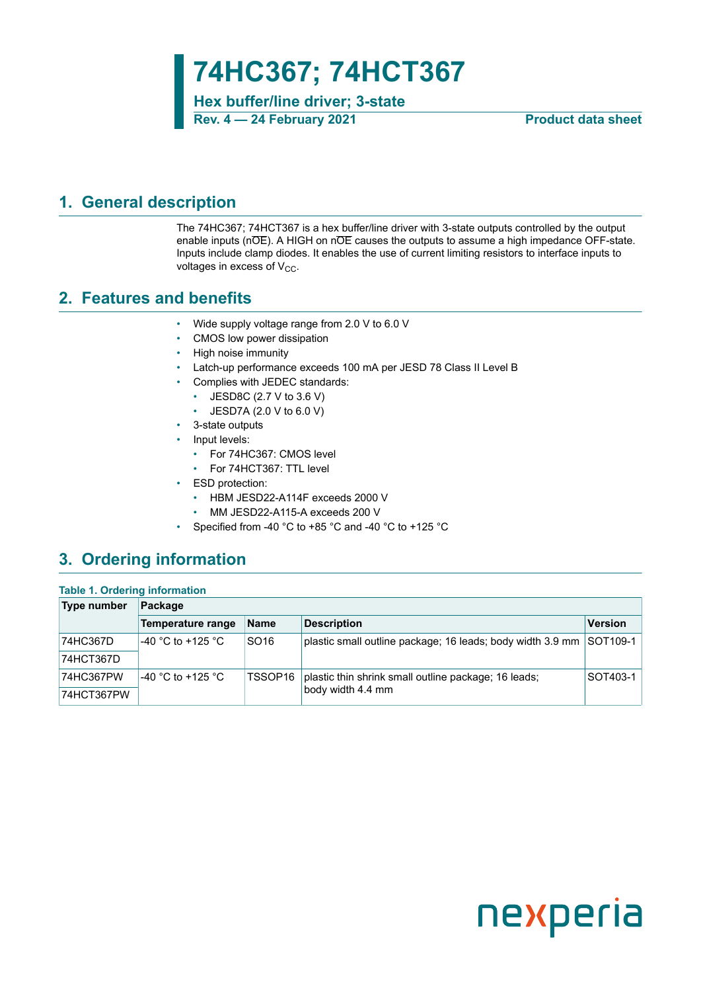**74HC367; 74HCT367**

**Hex buffer/line driver; 3-state Rev. 4 — 24 February 2021 Product data sheet**

### <span id="page-0-1"></span>**1. General description**

The 74HC367; 74HCT367 is a hex buffer/line driver with 3-state outputs controlled by the output enable inputs (nOE). A HIGH on nOE causes the outputs to assume a high impedance OFF-state. Inputs include clamp diodes. It enables the use of current limiting resistors to interface inputs to voltages in excess of  $V_{CC}$ .

### <span id="page-0-0"></span>**2. Features and benefits**

- Wide supply voltage range from 2.0 V to 6.0 V
- CMOS low power dissipation
- High noise immunity
- Latch-up performance exceeds 100 mA per JESD 78 Class II Level B
- Complies with JEDEC standards:
	- JESD8C (2.7 V to 3.6 V)
	- JESD7A (2.0 V to 6.0 V)
- 3-state outputs
- Input levels:
	- For 74HC367: CMOS level
	- For 74HCT367: TTL level
- ESD protection:
	- HBM JESD22-A114F exceeds 2000 V
	- MM JESD22-A115-A exceeds 200 V
- Specified from -40 °C to +85 °C and -40 °C to +125 °C

### <span id="page-0-2"></span>**3. Ordering information**

#### **Table 1. Ordering information**

| Type number | Package           |                     |                                                                     |                |  |  |  |  |
|-------------|-------------------|---------------------|---------------------------------------------------------------------|----------------|--|--|--|--|
|             | Temperature range | <b>Name</b>         | <b>Description</b>                                                  | <b>Version</b> |  |  |  |  |
| 74HC367D    | -40 °C to +125 °C | SO <sub>16</sub>    | plastic small outline package; 16 leads; body width 3.9 mm SOT109-1 |                |  |  |  |  |
| 74HCT367D   |                   |                     |                                                                     |                |  |  |  |  |
| 74HC367PW   | -40 °C to +125 °C | TSSOP <sub>16</sub> | plastic thin shrink small outline package; 16 leads;                | SOT403-1       |  |  |  |  |
| 74HCT367PW  |                   |                     | body width 4.4 mm                                                   |                |  |  |  |  |

# nexperia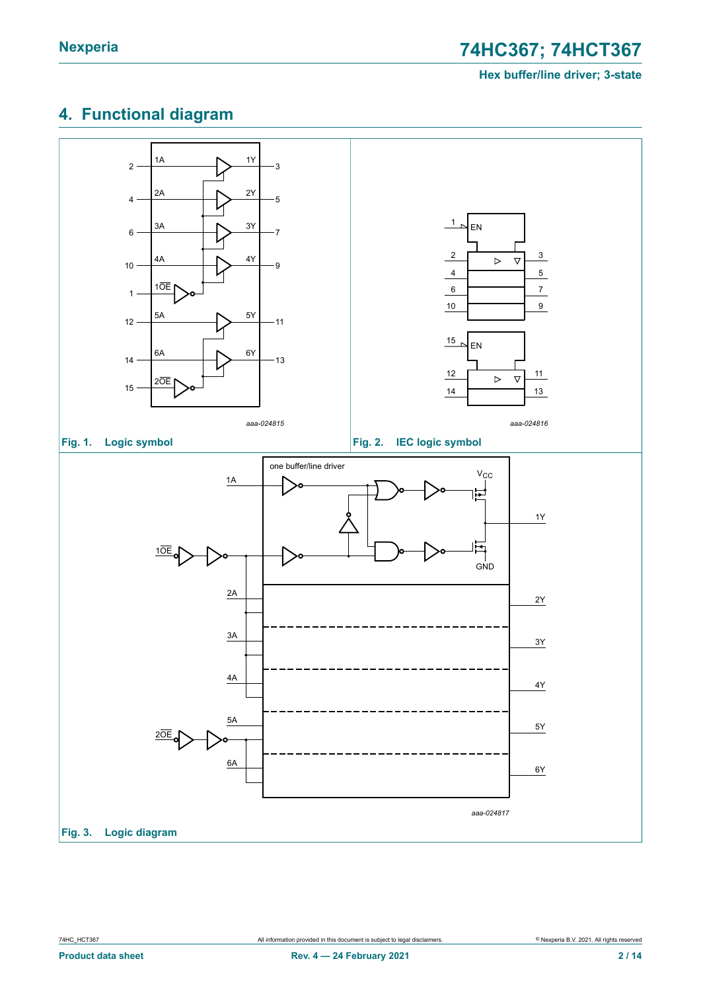# <span id="page-1-0"></span>**4. Functional diagram**

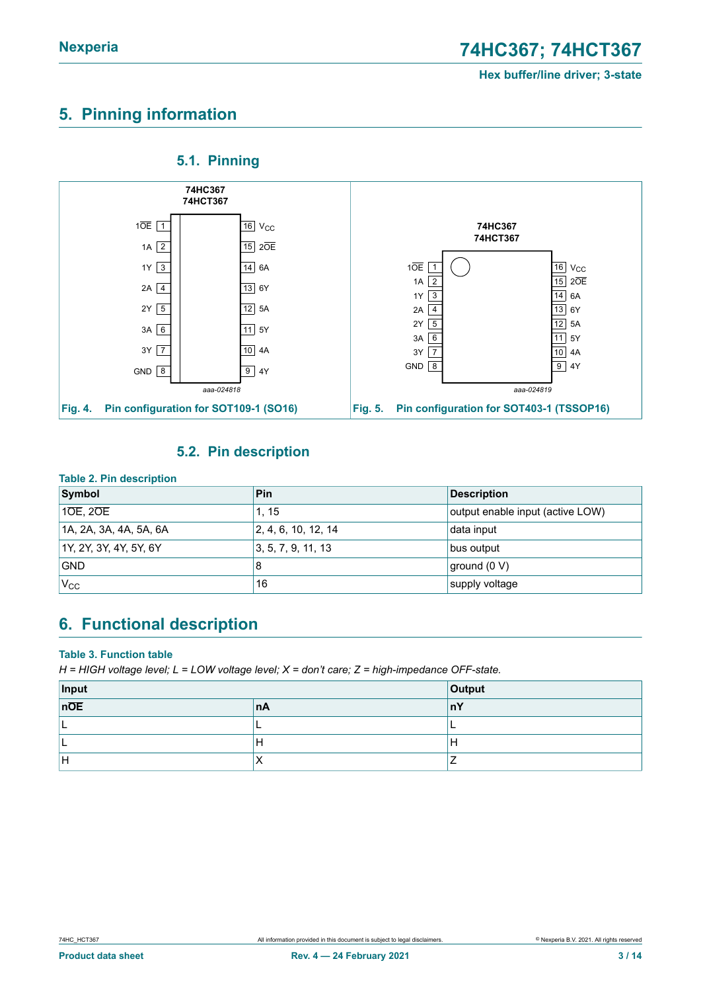### <span id="page-2-0"></span>**5. Pinning information**



### <span id="page-2-2"></span>**5.2. Pin description**

#### **Table 2. Pin description**

| Symbol                 | Pin                 | <b>Description</b>               |
|------------------------|---------------------|----------------------------------|
| 10E, 20E               | 1.15                | output enable input (active LOW) |
| 1A, 2A, 3A, 4A, 5A, 6A | 2, 4, 6, 10, 12, 14 | data input                       |
| 1Y, 2Y, 3Y, 4Y, 5Y, 6Y | 3, 5, 7, 9, 11, 13  | bus output                       |
| <b>GND</b>             | 8                   | $\vert$ ground (0 V)             |
| $V_{\rm CC}$           | 16                  | supply voltage                   |

### <span id="page-2-3"></span>**6. Functional description**

#### **Table 3. Function table**

*H = HIGH voltage level; L = LOW voltage level; X = don't care; Z = high-impedance OFF-state.*

| $\frac{Input}{nOE}$ | Output |     |
|---------------------|--------|-----|
|                     | ∣nA    | .nY |
|                     |        |     |
|                     |        | л   |
| IH                  |        |     |

<span id="page-2-1"></span>**5.1. Pinning**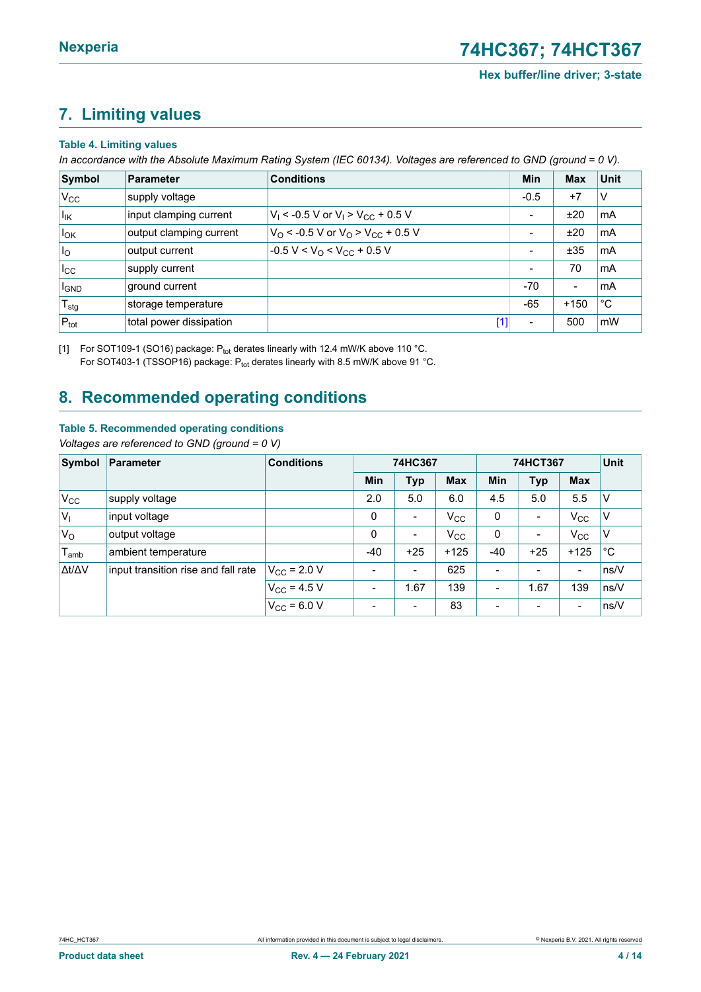### <span id="page-3-1"></span><span id="page-3-0"></span>**7. Limiting values**

#### **Table 4. Limiting values**

In accordance with the Absolute Maximum Rating System (IEC 60134). Voltages are referenced to GND (ground = 0 V).

| Symbol           | <b>Parameter</b>        | <b>Conditions</b>                          | Min                      | <b>Max</b>               | <b>Unit</b> |
|------------------|-------------------------|--------------------------------------------|--------------------------|--------------------------|-------------|
| $V_{CC}$         | supply voltage          |                                            | $-0.5$                   | $+7$                     | V           |
| $I_{IK}$         | input clamping current  | $V_1$ < -0.5 V or $V_1$ > $V_{CC}$ + 0.5 V | $\blacksquare$           | ±20                      | mA          |
| $I_{OK}$         | output clamping current | $V_O$ < -0.5 V or $V_O$ > $V_{CC}$ + 0.5 V | $\overline{\phantom{a}}$ | ±20                      | mA          |
| I <sub>O</sub>   | output current          | $-0.5 V < VO < VCC + 0.5 V$                | $\blacksquare$           | ±35                      | mA          |
| $I_{\rm CC}$     | supply current          |                                            | $\,$                     | 70                       | mA          |
| <b>I</b> GND     | ground current          |                                            | $-70$                    | $\overline{\phantom{a}}$ | mA          |
| $T_{\text{stg}}$ | storage temperature     |                                            | $-65$                    | $+150$                   | °C          |
| $P_{\text{tot}}$ | total power dissipation | $[1]$                                      | $\overline{\phantom{a}}$ | 500                      | mW          |

[1] For SOT109-1 (SO16) package:  $P_{tot}$  derates linearly with 12.4 mW/K above 110 °C. For SOT403-1 (TSSOP16) package: Ptot derates linearly with 8.5 mW/K above 91 °C.

### <span id="page-3-2"></span>**8. Recommended operating conditions**

#### **Table 5. Recommended operating conditions**

*Voltages are referenced to GND (ground = 0 V)*

| Symbol              | Parameter                           | <b>Conditions</b>    | 74HC367                  |                          | 74HCT367     |                          |                          | Unit                     |      |
|---------------------|-------------------------------------|----------------------|--------------------------|--------------------------|--------------|--------------------------|--------------------------|--------------------------|------|
|                     |                                     |                      | Min                      | <b>Typ</b>               | <b>Max</b>   | Min                      | <b>Typ</b>               | <b>Max</b>               |      |
| $V_{\rm CC}$        | supply voltage                      |                      | 2.0                      | 5.0                      | 6.0          | 4.5                      | 5.0                      | 5.5                      | ١V   |
| $V_{I}$             | input voltage                       |                      | 0                        | $\overline{\phantom{a}}$ | $V_{\rm CC}$ | 0                        | $\blacksquare$           | $V_{\rm CC}$             | ΙV   |
| $V_{\rm O}$         | output voltage                      |                      | 0                        | $\overline{\phantom{a}}$ | $V_{\rm CC}$ | 0                        | $\overline{\phantom{a}}$ | $V_{\rm CC}$             | ΙV   |
| $T_{amb}$           | ambient temperature                 |                      | $-40$                    | $+25$                    | $+125$       | $-40$                    | $+25$                    | $+125$                   | °С   |
| $\Delta t/\Delta V$ | input transition rise and fall rate | $V_{\rm CC}$ = 2.0 V | $\blacksquare$           | $\blacksquare$           | 625          | $\overline{\phantom{a}}$ | $\overline{\phantom{a}}$ | $\overline{\phantom{a}}$ | ns/V |
|                     |                                     | $V_{\rm CC}$ = 4.5 V | $\overline{\phantom{a}}$ | 1.67                     | 139          | $\overline{\phantom{a}}$ | 1.67                     | 139                      | ns/V |
|                     |                                     | $V_{\rm CC}$ = 6.0 V | $\blacksquare$           | $\blacksquare$           | 83           | $\overline{\phantom{a}}$ | $\overline{\phantom{a}}$ | $\overline{\phantom{0}}$ | ns/V |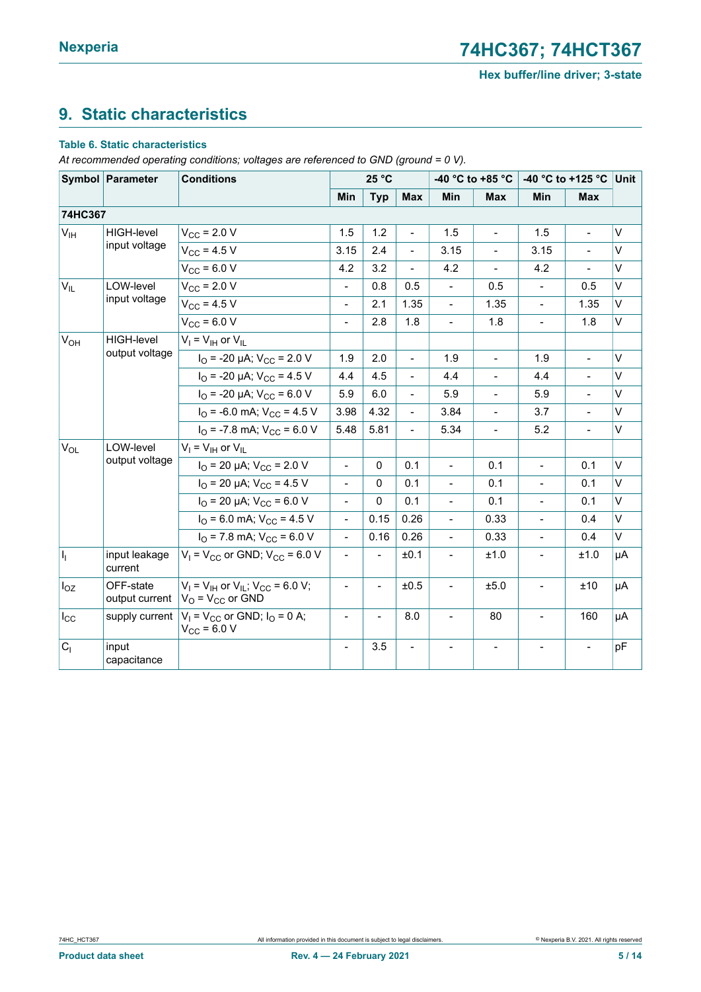## <span id="page-4-0"></span>**9. Static characteristics**

### **Table 6. Static characteristics**

*At recommended operating conditions; voltages are referenced to GND (ground = 0 V).*

|                           | Symbol Parameter            | <b>Conditions</b>                                                        |                          | 25 °C          |                          |                              | -40 °C to +85 °C $\vert$ |                          | -40 °C to +125 °C Unit   |        |
|---------------------------|-----------------------------|--------------------------------------------------------------------------|--------------------------|----------------|--------------------------|------------------------------|--------------------------|--------------------------|--------------------------|--------|
|                           |                             |                                                                          | <b>Min</b>               | <b>Typ</b>     | <b>Max</b>               | <b>Min</b>                   | <b>Max</b>               | <b>Min</b>               | <b>Max</b>               |        |
| 74HC367                   |                             |                                                                          |                          |                |                          |                              |                          |                          |                          |        |
| $V_{\text{IH}}$           | HIGH-level                  | $V_{CC}$ = 2.0 V                                                         | 1.5                      | 1.2            | $\overline{a}$           | 1.5                          | $\overline{a}$           | 1.5                      | $\overline{a}$           | $\vee$ |
|                           | input voltage               | $V_{CC}$ = 4.5 V                                                         | 3.15                     | 2.4            | $\blacksquare$           | 3.15                         | $\blacksquare$           | 3.15                     | $\overline{\phantom{a}}$ | V      |
|                           |                             | $V_{CC}$ = 6.0 V                                                         | 4.2                      | 3.2            |                          | 4.2                          | $\overline{\phantom{0}}$ | 4.2                      |                          | V      |
| <b>V<sub>IL</sub></b>     | LOW-level                   | $V_{CC}$ = 2.0 V                                                         | $\overline{a}$           | 0.8            | 0.5                      | $\blacksquare$               | 0.5                      |                          | 0.5                      | $\vee$ |
|                           | input voltage               | $V_{CC}$ = 4.5 V                                                         | $\blacksquare$           | 2.1            | 1.35                     | $\overline{\phantom{a}}$     | 1.35                     | $\blacksquare$           | 1.35                     | V      |
|                           |                             | $V_{CC}$ = 6.0 V                                                         |                          | 2.8            | 1.8                      | $\overline{\phantom{0}}$     | 1.8                      |                          | 1.8                      | V      |
| $V_{OH}$                  | <b>HIGH-level</b>           | $V_I = V_{IH}$ or $V_{IL}$                                               |                          |                |                          |                              |                          |                          |                          |        |
|                           | output voltage              | $I_{\text{O}}$ = -20 µA; $V_{\text{CC}}$ = 2.0 V                         | 1.9                      | 2.0            | $\blacksquare$           | 1.9                          | $\blacksquare$           | 1.9                      | $\blacksquare$           | $\vee$ |
|                           |                             | $I_{\Omega}$ = -20 µA; $V_{\text{CC}}$ = 4.5 V                           | 4.4                      | 4.5            |                          | 4.4                          |                          | 4.4                      |                          | V      |
|                           |                             | $I_{\Omega}$ = -20 µA; $V_{\text{CC}}$ = 6.0 V                           | 5.9                      | 6.0            | $\overline{a}$           | 5.9                          |                          | 5.9                      |                          | $\vee$ |
|                           |                             | $IO$ = -6.0 mA; $VCC$ = 4.5 V                                            | 3.98                     | 4.32           | $\overline{\phantom{a}}$ | 3.84                         | $\blacksquare$           | 3.7                      | $\blacksquare$           | V      |
|                           |                             | $I_{\text{O}}$ = -7.8 mA; $V_{\text{CC}}$ = 6.0 V                        | 5.48                     | 5.81           | $\blacksquare$           | 5.34                         | $\overline{\phantom{0}}$ | 5.2                      | $\overline{\phantom{a}}$ | V      |
| $V_{OL}$                  | LOW-level                   | $V_I = V_{IH}$ or $V_{IL}$                                               |                          |                |                          |                              |                          |                          |                          |        |
|                           | output voltage              | $I_{\Omega}$ = 20 µA; $V_{\text{CC}}$ = 2.0 V                            | $\blacksquare$           | $\mathbf{0}$   | 0.1                      | $\blacksquare$               | 0.1                      | $\blacksquare$           | 0.1                      | V      |
|                           |                             | $I_{\text{O}}$ = 20 µA; $V_{\text{CC}}$ = 4.5 V                          | $\blacksquare$           | $\Omega$       | 0.1                      | $\frac{1}{2}$                | 0.1                      | $\overline{\phantom{a}}$ | 0.1                      | V      |
|                           |                             | $I_{\text{O}}$ = 20 µA; $V_{\text{CC}}$ = 6.0 V                          | $\overline{\phantom{a}}$ | $\mathbf{0}$   | 0.1                      | $\frac{1}{2}$                | 0.1                      |                          | 0.1                      | V      |
|                           |                             | $I_{\Omega}$ = 6.0 mA; $V_{\text{CC}}$ = 4.5 V                           | $\blacksquare$           | 0.15           | 0.26                     | $\blacksquare$               | 0.33                     | $\blacksquare$           | 0.4                      | $\vee$ |
|                           |                             | $I_{\text{O}}$ = 7.8 mA; $V_{\text{CC}}$ = 6.0 V                         | $\blacksquare$           | 0.16           | 0.26                     | $\qquad \qquad \blacksquare$ | 0.33                     | $\overline{\phantom{a}}$ | 0.4                      | V      |
| $\mathbf{I}_{\mathrm{I}}$ | input leakage<br>current    | $V_1$ = $V_{CC}$ or GND; $V_{CC}$ = 6.0 V                                |                          |                | ±0.1                     | $\overline{\phantom{a}}$     | ±1.0                     |                          | ±1.0                     | μA     |
| $I_{OZ}$                  | OFF-state<br>output current | $V_1 = V_{1H}$ or $V_{1L}$ ; $V_{CC} = 6.0 V$ ;<br>$V_O = V_{CC}$ or GND |                          | $\blacksquare$ | ±0.5                     | $\overline{\phantom{a}}$     | ±5.0                     |                          | ±10                      | μA     |
| $I_{\rm CC}$              | supply current              | $V_1 = V_{CC}$ or GND; $I_0 = 0$ A;<br>$V_{CC}$ = 6.0 V                  |                          |                | 8.0                      | $\frac{1}{2}$                | 80                       |                          | 160                      | μA     |
| C <sub>1</sub>            | input<br>capacitance        |                                                                          |                          | 3.5            |                          |                              |                          |                          |                          | pF     |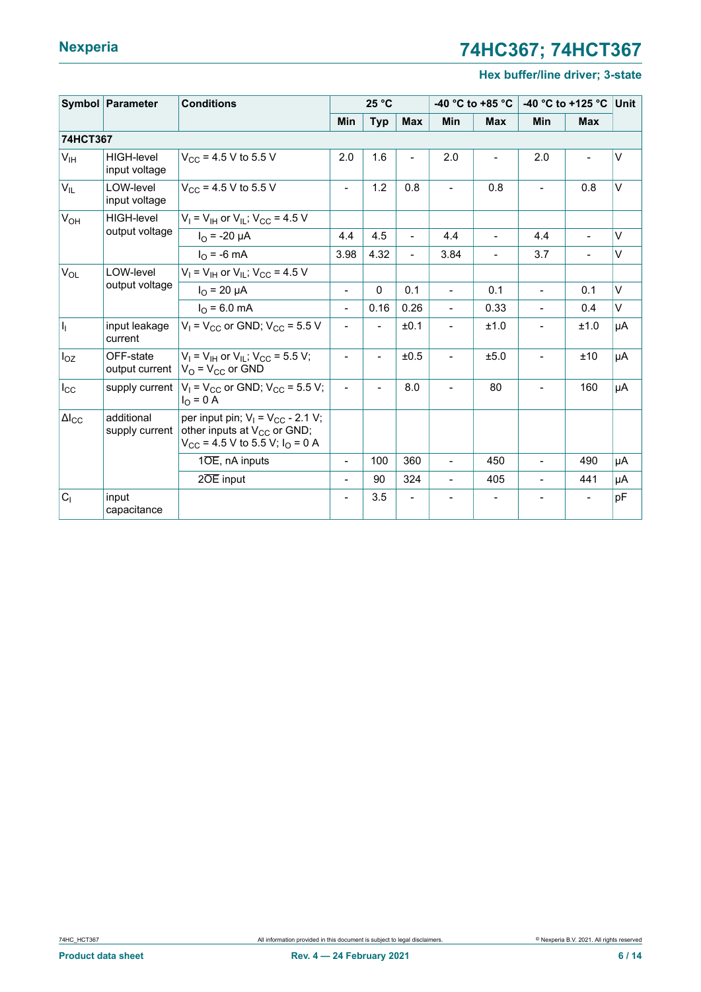# **Nexperia 74HC367; 74HCT367**

### **Hex buffer/line driver; 3-state**

|                                         | Symbol Parameter                              | <b>Conditions</b>                                                                                                              |                | 25 °C          |                          |                          | -40 $^{\circ}$ C to +85 $^{\circ}$ C |                | -40 °C to +125 °C Unit |        |
|-----------------------------------------|-----------------------------------------------|--------------------------------------------------------------------------------------------------------------------------------|----------------|----------------|--------------------------|--------------------------|--------------------------------------|----------------|------------------------|--------|
|                                         |                                               |                                                                                                                                | Min            | <b>Typ</b>     | <b>Max</b>               | <b>Min</b>               | <b>Max</b>                           | <b>Min</b>     | <b>Max</b>             |        |
| 74HCT367                                |                                               |                                                                                                                                |                |                |                          |                          |                                      |                |                        |        |
| V <sub>IH</sub>                         | <b>HIGH-level</b><br>input voltage            | $V_{CC}$ = 4.5 V to 5.5 V                                                                                                      | 2.0            | 1.6            |                          | 2.0                      |                                      | 2.0            |                        | $\vee$ |
| $V_{IL}$                                | LOW-level<br>input voltage                    | $V_{CC}$ = 4.5 V to 5.5 V                                                                                                      |                | 1.2            | 0.8                      | $\blacksquare$           | 0.8                                  | $\blacksquare$ | 0.8                    | V      |
| $V_{OH}$                                | <b>HIGH-level</b>                             | $V_1 = V_{1H}$ or $V_{1I}$ ; $V_{CC} = 4.5$ V                                                                                  |                |                |                          |                          |                                      |                |                        |        |
|                                         | output voltage                                | $I_{\Omega}$ = -20 µA                                                                                                          | 4.4            | 4.5            | $\overline{\phantom{0}}$ | 4.4                      | $\overline{\phantom{a}}$             | 4.4            | $\blacksquare$         | V      |
|                                         |                                               | $I_{\Omega}$ = -6 mA                                                                                                           | 3.98           | 4.32           | $\overline{\phantom{0}}$ | 3.84                     | $\blacksquare$                       | 3.7            | $\blacksquare$         | V      |
| $V_{OL}$<br>LOW-level<br>output voltage | $V_1 = V_{1H}$ or $V_{1L}$ ; $V_{CC} = 4.5$ V |                                                                                                                                |                |                |                          |                          |                                      |                |                        |        |
|                                         |                                               | $I_{\Omega}$ = 20 µA                                                                                                           | $\blacksquare$ | $\Omega$       | 0.1                      | $\overline{\phantom{a}}$ | 0.1                                  | $\blacksquare$ | 0.1                    | $\vee$ |
|                                         |                                               | $I_{\Omega}$ = 6.0 mA                                                                                                          |                | 0.16           | 0.26                     | $\blacksquare$           | 0.33                                 |                | 0.4                    | V      |
| h                                       | input leakage<br>current                      | $V_1$ = $V_{CC}$ or GND; $V_{CC}$ = 5.5 V                                                                                      |                |                | ±0.1                     | $\overline{\phantom{0}}$ | ±1.0                                 |                | ±1.0                   | μA     |
| $I_{OZ}$                                | OFF-state<br>output current                   | $V_1 = V_{1H}$ or $V_{1L}$ ; $V_{CC} = 5.5 V$ ;<br>$V_{\rm O}$ = $V_{\rm CC}$ or GND                                           |                | $\blacksquare$ | ±0.5                     | $\blacksquare$           | ±5.0                                 |                | ±10                    | μA     |
| $I_{\rm CC}$                            | supply current                                | $V_1$ = $V_{CC}$ or GND; $V_{CC}$ = 5.5 V;<br>$IO = 0$ A                                                                       |                |                | 8.0                      | $\overline{\phantom{0}}$ | 80                                   |                | 160                    | μA     |
| $\Delta I_{\rm CC}$                     | additional<br>supply current                  | per input pin; $V_1 = V_{CC} - 2.1 V$ ;<br>other inputs at V <sub>CC</sub> or GND;<br>$V_{CC}$ = 4.5 V to 5.5 V; $I_{O}$ = 0 A |                |                |                          |                          |                                      |                |                        |        |
|                                         |                                               | 10E, nA inputs                                                                                                                 | $\blacksquare$ | 100            | 360                      | $\blacksquare$           | 450                                  | $\blacksquare$ | 490                    | μA     |
|                                         |                                               | 20E input                                                                                                                      | $\blacksquare$ | 90             | 324                      | $\overline{\phantom{0}}$ | 405                                  |                | 441                    | μA     |
| C <sub>1</sub>                          | input<br>capacitance                          |                                                                                                                                |                | 3.5            |                          |                          |                                      |                |                        | pF     |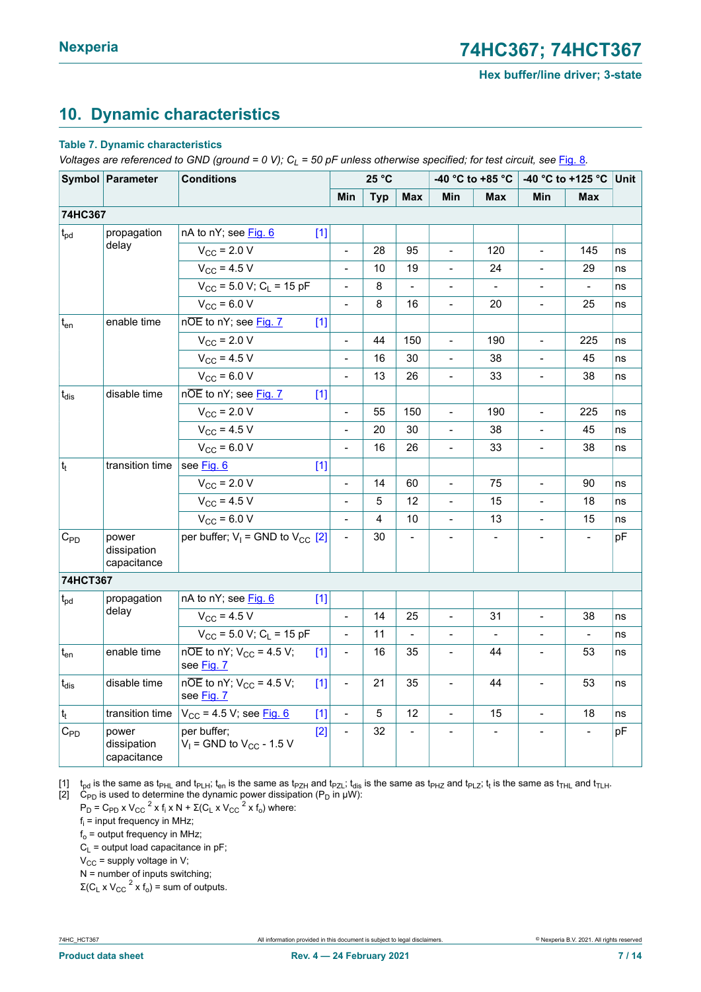# <span id="page-6-1"></span><span id="page-6-0"></span>**10. Dynamic characteristics**

#### **Table 7. Dynamic characteristics**

*Voltages* are *referenced* to GND (ground = 0 V);  $C_L$  = 50 pF unless otherwise specified; for test circuit, see [Fig. 8](#page-8-0).

|                   | Symbol Parameter                    | <b>Conditions</b>                                              |                          | 25 °C          |                |                          | -40 °C to +85 °C         |                          | -40 °C to +125 °C Unit |    |
|-------------------|-------------------------------------|----------------------------------------------------------------|--------------------------|----------------|----------------|--------------------------|--------------------------|--------------------------|------------------------|----|
|                   |                                     |                                                                | Min                      | <b>Typ</b>     | <b>Max</b>     | Min                      | Max                      | Min                      | Max                    |    |
| 74HC367           |                                     |                                                                |                          |                |                |                          |                          |                          |                        |    |
| $t_{pd}$          | propagation                         | nA to nY; see Fig. 6<br>$[1]$                                  |                          |                |                |                          |                          |                          |                        |    |
| delay             | $V_{CC}$ = 2.0 V                    | $\qquad \qquad \blacksquare$                                   | 28                       | 95             | $\blacksquare$ | 120                      | $\overline{\phantom{a}}$ | 145                      | ns                     |    |
|                   |                                     | $V_{CC}$ = 4.5 V                                               |                          | 10             | 19             | $\blacksquare$           | 24                       |                          | 29                     | ns |
|                   |                                     | $V_{CC}$ = 5.0 V; C <sub>L</sub> = 15 pF                       | $\overline{\phantom{a}}$ | 8              | $\blacksquare$ | $\overline{\phantom{a}}$ | $\blacksquare$           |                          | $\blacksquare$         | ns |
|                   |                                     | $V_{CC}$ = 6.0 V                                               |                          | 8              | 16             |                          | 20                       |                          | 25                     | ns |
| $t_{en}$          | enable time                         | nOE to nY; see Fig. 7<br>$[1]$                                 |                          |                |                |                          |                          |                          |                        |    |
|                   |                                     | $V_{\text{CC}}$ = 2.0 V                                        | $\blacksquare$           | 44             | 150            | $\overline{\phantom{a}}$ | 190                      | $\blacksquare$           | 225                    | ns |
|                   |                                     | $V_{CC} = 4.5 V$                                               |                          | 16             | 30             | $\blacksquare$           | 38                       |                          | 45                     | ns |
|                   |                                     | $V_{CC}$ = 6.0 V                                               |                          | 13             | 26             |                          | 33                       |                          | 38                     | ns |
| $t_{dis}$         | disable time                        | nOE to nY; see Fig. 7<br>$[1]$                                 |                          |                |                |                          |                          |                          |                        |    |
|                   |                                     | $V_{\text{CC}}$ = 2.0 V                                        | $\blacksquare$           | 55             | 150            | $\blacksquare$           | 190                      | $\blacksquare$           | 225                    | ns |
|                   |                                     | $V_{CC}$ = 4.5 V                                               | $\overline{\phantom{a}}$ | 20             | 30             | $\blacksquare$           | 38                       |                          | 45                     | ns |
|                   |                                     | $V_{\text{CC}} = 6.0 V$                                        |                          | 16             | 26             |                          | 33                       |                          | 38                     | ns |
| $ t_t $           | transition time                     | see Fig. 6<br>$[1]$                                            |                          |                |                |                          |                          |                          |                        |    |
|                   |                                     | $V_{\rm CC}$ = 2.0 V                                           |                          | 14             | 60             | $\blacksquare$           | 75                       | $\blacksquare$           | 90                     | ns |
|                   |                                     | $V_{CC}$ = 4.5 V                                               |                          | 5              | 12             | $\blacksquare$           | 15                       |                          | 18                     | ns |
|                   |                                     | $V_{CC}$ = 6.0 V                                               |                          | $\overline{4}$ | 10             |                          | 13                       |                          | 15                     | ns |
| $C_{\mathsf{PD}}$ | power<br>dissipation<br>capacitance | per buffer; $V_1$ = GND to $V_{CC}$ [2]                        | $\frac{1}{2}$            | 30             | $\blacksquare$ |                          |                          |                          |                        | pF |
| 74HCT367          |                                     |                                                                |                          |                |                |                          |                          |                          |                        |    |
| $t_{pd}$          | propagation                         | nA to nY; see Fig. 6<br>$[1]$                                  |                          |                |                |                          |                          |                          |                        |    |
|                   | delay                               | $V_{\text{CC}} = 4.5 V$                                        |                          | 14             | 25             | $\blacksquare$           | 31                       | $\blacksquare$           | 38                     | ns |
|                   |                                     | $V_{CC}$ = 5.0 V; C <sub>L</sub> = 15 pF                       |                          | 11             | $\blacksquare$ | $\frac{1}{2}$            | $\blacksquare$           |                          | $\blacksquare$         | ns |
| $t_{en}$          | enable time                         | $n\overline{OE}$ to nY; $V_{CC}$ = 4.5 V;<br>[1]<br>see Fig. 7 | $\blacksquare$           | 16             | 35             | $\blacksquare$           | 44                       |                          | 53                     | ns |
| $t_{dis}$         | disable time                        | $n\overline{OE}$ to nY; $V_{CC}$ = 4.5 V;<br>[1]<br>see Fig. 7 | $\blacksquare$           | 21             | 35             | $\overline{\phantom{a}}$ | 44                       | $\overline{\phantom{0}}$ | 53                     | ns |
| $ t_t $           | transition time                     | $V_{CC}$ = 4.5 V; see $Fig. 6$<br>$[1]$                        | $\blacksquare$           | $\sqrt{5}$     | 12             | $\overline{\phantom{a}}$ | 15                       | $\overline{a}$           | 18                     | ns |
| $C_{PD}$          | power<br>dissipation<br>capacitance | [2]<br>per buffer;<br>$V_1$ = GND to $V_{CC}$ - 1.5 V          | $\blacksquare$           | 32             | $\blacksquare$ |                          |                          |                          |                        | pF |

[1]  $\;$  t<sub>pd</sub> is the same as t<sub>PHL</sub> and t<sub>PLH</sub>; t<sub>en</sub> is the same as t<sub>PZH</sub> and t<sub>PZL</sub>; t<sub>dis</sub> is the same as t<sub>PHZ</sub> and t<sub>PLC</sub>, t<sub>t</sub> is the same as t<sub>THL</sub> and t<sub>TLH</sub>. [2]  $\,$  C<sub>PD</sub> is used to determine the dynamic power dissipation (P<sub>D</sub> in μW):

 $P_D$  = C<sub>PD</sub> x V<sub>CC</sub> <sup>2</sup> x f<sub>i</sub> x N + Σ(C<sub>L</sub> x V<sub>CC</sub> <sup>2</sup> x f<sub>o</sub>) where:

fi = input frequency in MHz;

 $f_0$  = output frequency in MHz;

 $C_L$  = output load capacitance in pF;

 $V_{CC}$  = supply voltage in V;

N = number of inputs switching;

 $\Sigma$ (C<sub>L</sub> x V<sub>CC</sub><sup>2</sup> x f<sub>o</sub>) = sum of outputs.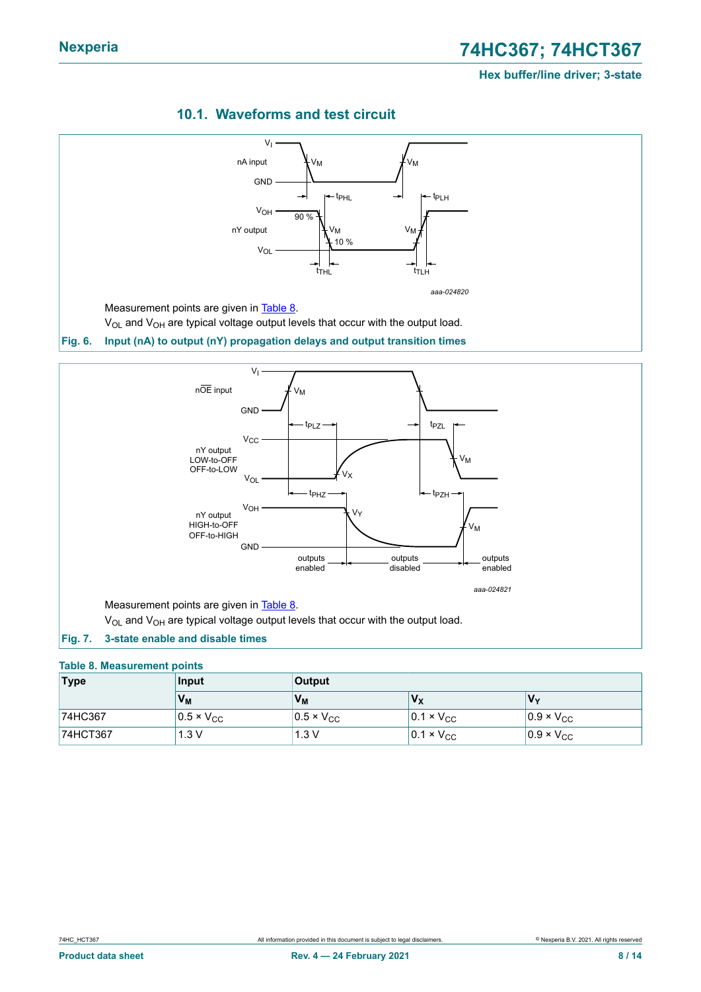<span id="page-7-1"></span><span id="page-7-0"></span>

<span id="page-7-3"></span>**10.1. Waveforms and test circuit**

#### <span id="page-7-2"></span>**Table 8. Measurement points**

| Type            | Input               | <b>Output</b>       |                     |                     |  |
|-----------------|---------------------|---------------------|---------------------|---------------------|--|
|                 | V <sub>M</sub>      | Vм                  | $V_{\rm X}$         | $V_{\rm v}$         |  |
| 74HC367         | $0.5 \times V_{CC}$ | $0.5 \times V_{CC}$ | $0.1 \times V_{CC}$ | $0.9 \times V_{CC}$ |  |
| <b>74HCT367</b> | 1.3V                | 1.3V                | $0.1 \times V_{CC}$ | $0.9 \times V_{CC}$ |  |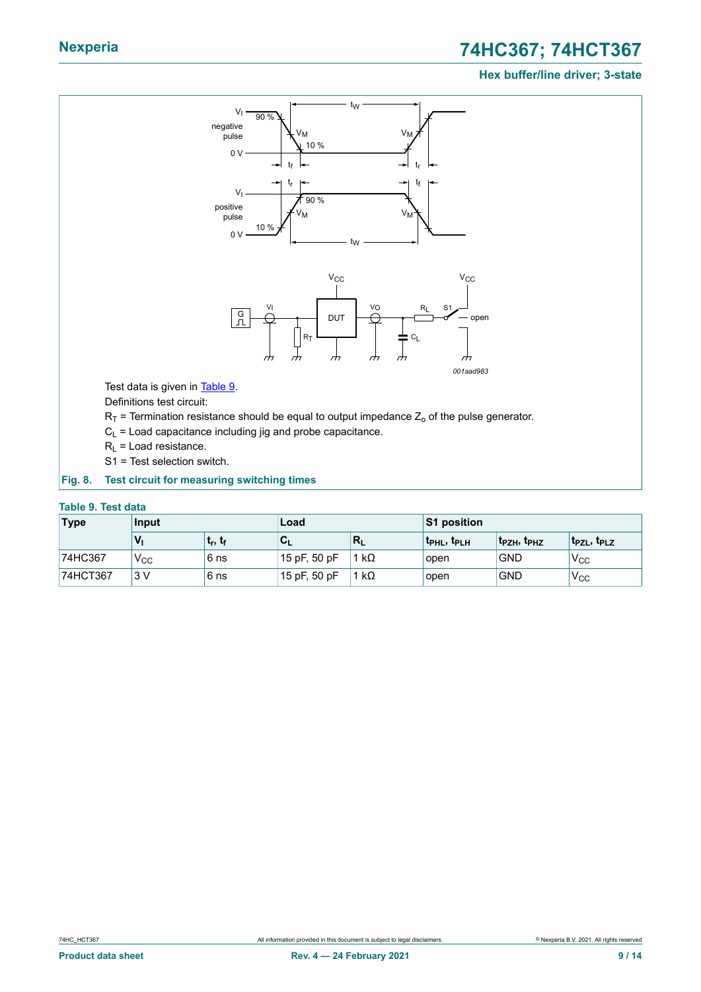# **Nexperia 74HC367; 74HCT367**

### **Hex buffer/line driver; 3-state**

<span id="page-8-0"></span>

#### <span id="page-8-1"></span>**Fig. 8. Test circuit for measuring switching times**

#### **Table 9. Test data**

| <b>Type</b> | Input    |                                   | Load         |                 | S1 position       |                                     |                   |
|-------------|----------|-----------------------------------|--------------|-----------------|-------------------|-------------------------------------|-------------------|
|             |          | ∣ t <sub>r</sub> , t <sub>f</sub> | ◡∟           | IR <sub>L</sub> | <b>TPHL, TPLH</b> | T <sub>PZH</sub> , T <sub>PHZ</sub> | <b>TPZL, TPLZ</b> |
| 74HC367     | $V_{CC}$ | ∣6 ns                             | 15 pF, 50 pF | 1 k $\Omega$    | open              | <b>GND</b>                          | 'V <sub>CC</sub>  |
| 74HCT367    | 3V       | ∣6 ns                             | 15 pF, 50 pF | kΩ<br>1         | open              | <b>GND</b>                          | 'V <sub>CC</sub>  |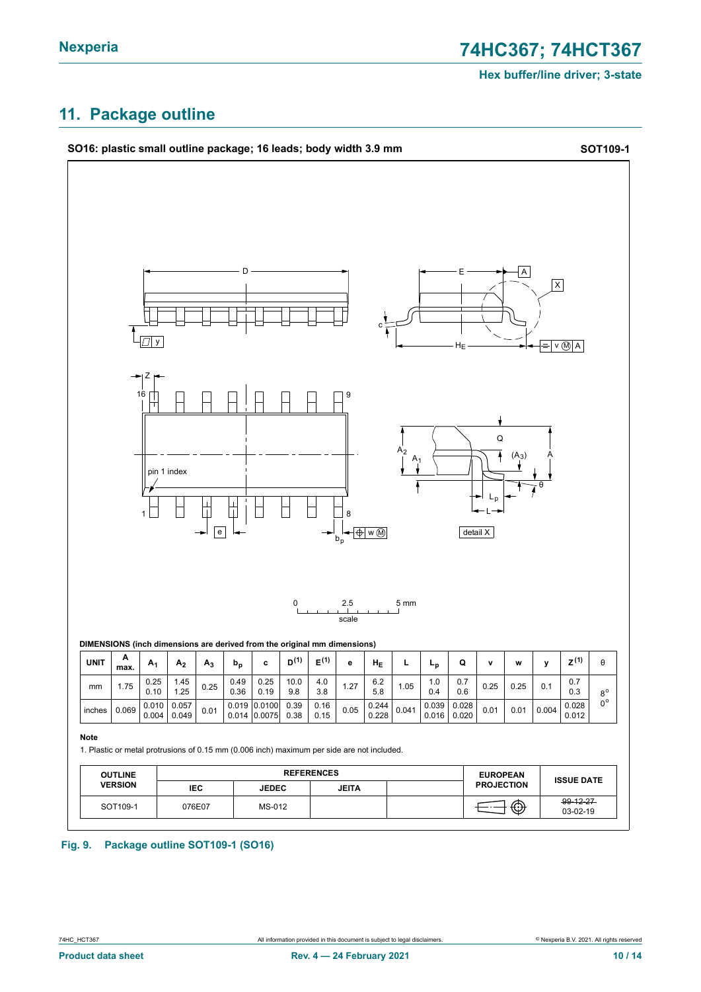### <span id="page-9-0"></span>**11. Package outline**



#### **Fig. 9. Package outline SOT109-1 (SO16)**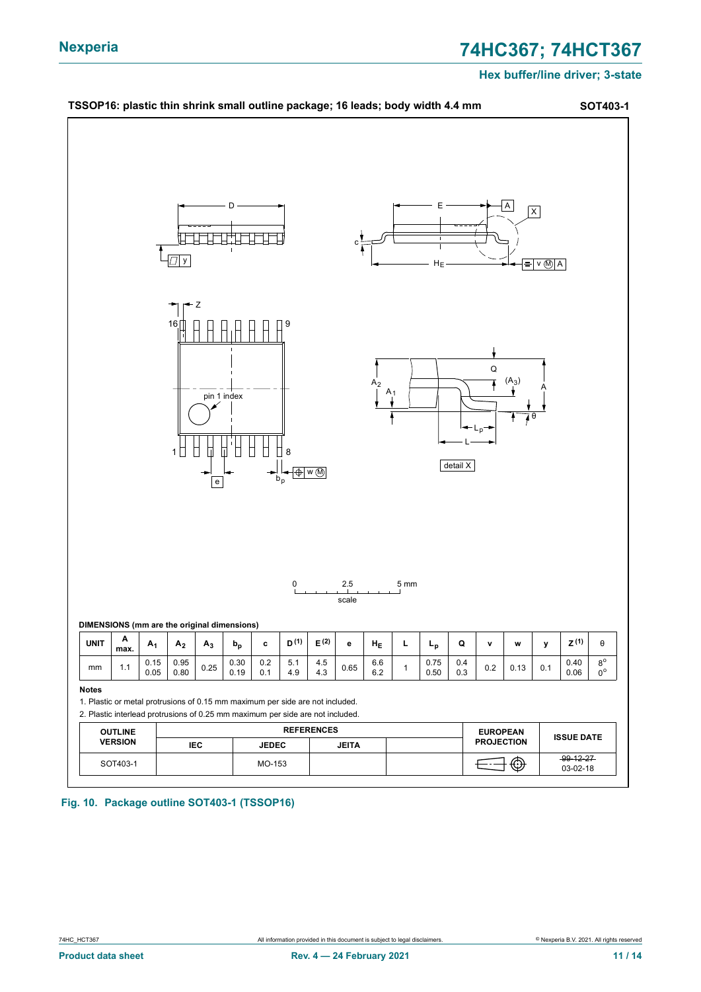

**Fig. 10. Package outline SOT403-1 (TSSOP16)**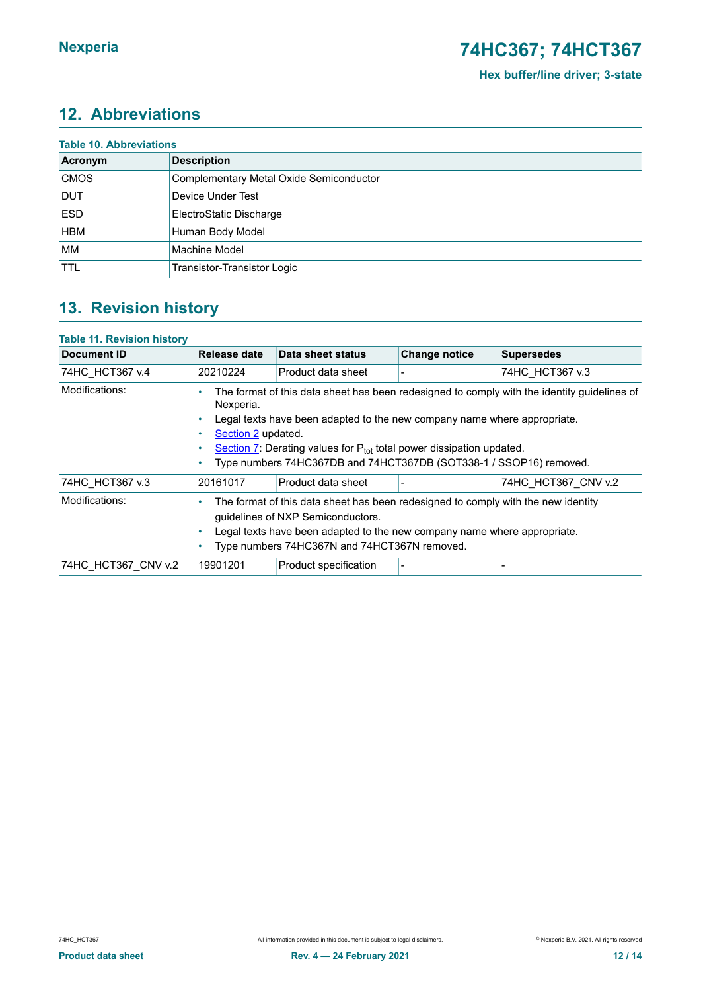## <span id="page-11-0"></span>**12. Abbreviations**

| Acronym     | <b>Description</b>                      |
|-------------|-----------------------------------------|
| <b>CMOS</b> | Complementary Metal Oxide Semiconductor |
| <b>DUT</b>  | Device Under Test                       |
| <b>ESD</b>  | ElectroStatic Discharge                 |
| <b>HBM</b>  | Human Body Model                        |
| <b>MM</b>   | Machine Model                           |
| <b>TTL</b>  | Transistor-Transistor Logic             |

# <span id="page-11-1"></span>**13. Revision history**

| <b>Table 11. Revision history</b> |                                                                                                                                                                                                                                                                                                                                                               |                       |                      |                     |  |  |  |
|-----------------------------------|---------------------------------------------------------------------------------------------------------------------------------------------------------------------------------------------------------------------------------------------------------------------------------------------------------------------------------------------------------------|-----------------------|----------------------|---------------------|--|--|--|
| <b>Document ID</b>                | Release date                                                                                                                                                                                                                                                                                                                                                  | Data sheet status     | <b>Change notice</b> | <b>Supersedes</b>   |  |  |  |
| 74HC HCT367 v.4                   | 20210224                                                                                                                                                                                                                                                                                                                                                      | Product data sheet    |                      | 74HC HCT367 v.3     |  |  |  |
| Modifications:                    | The format of this data sheet has been redesigned to comply with the identity guidelines of<br>Nexperia.<br>Legal texts have been adapted to the new company name where appropriate.<br>Section 2 updated.<br>Section 7: Derating values for $P_{tot}$ total power dissipation updated.<br>Type numbers 74HC367DB and 74HCT367DB (SOT338-1 / SSOP16) removed. |                       |                      |                     |  |  |  |
| 74HC HCT367 v.3                   | 20161017                                                                                                                                                                                                                                                                                                                                                      | Product data sheet    |                      | 74HC HCT367 CNV v.2 |  |  |  |
| Modifications:                    | The format of this data sheet has been redesigned to comply with the new identity<br>guidelines of NXP Semiconductors.<br>Legal texts have been adapted to the new company name where appropriate.<br>Type numbers 74HC367N and 74HCT367N removed.                                                                                                            |                       |                      |                     |  |  |  |
| 74HC_HCT367_CNV v.2               | 19901201                                                                                                                                                                                                                                                                                                                                                      | Product specification |                      |                     |  |  |  |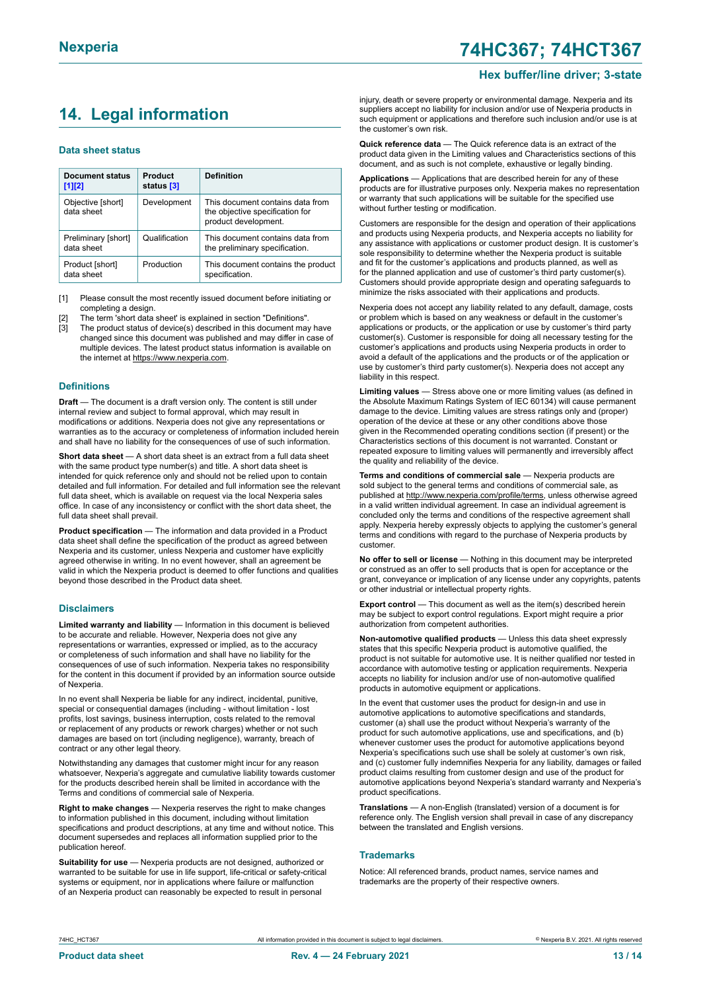## <span id="page-12-0"></span>**14. Legal information**

#### **Data sheet status**

| <b>Document status</b><br>$[1]$ [2] | Product<br>status [3] | <b>Definition</b>                                                                           |
|-------------------------------------|-----------------------|---------------------------------------------------------------------------------------------|
| Objective [short]<br>data sheet     | Development           | This document contains data from<br>the objective specification for<br>product development. |
| Preliminary [short]<br>data sheet   | Qualification         | This document contains data from<br>the preliminary specification.                          |
| Product [short]<br>data sheet       | Production            | This document contains the product<br>specification.                                        |

[1] Please consult the most recently issued document before initiating or completing a design.

- The term 'short data sheet' is explained in section "Definitions".
- [3] The product status of device(s) described in this document may have changed since this document was published and may differ in case of multiple devices. The latest product status information is available on the internet at [https://www.nexperia.com.](https://www.nexperia.com)

#### **Definitions**

**Draft** — The document is a draft version only. The content is still under internal review and subject to formal approval, which may result in modifications or additions. Nexperia does not give any representations or warranties as to the accuracy or completeness of information included herein and shall have no liability for the consequences of use of such information.

**Short data sheet** — A short data sheet is an extract from a full data sheet with the same product type number(s) and title. A short data sheet is intended for quick reference only and should not be relied upon to contain detailed and full information. For detailed and full information see the relevant full data sheet, which is available on request via the local Nexperia sales office. In case of any inconsistency or conflict with the short data sheet, the full data sheet shall prevail.

**Product specification** — The information and data provided in a Product data sheet shall define the specification of the product as agreed between Nexperia and its customer, unless Nexperia and customer have explicitly agreed otherwise in writing. In no event however, shall an agreement be valid in which the Nexperia product is deemed to offer functions and qualities beyond those described in the Product data sheet.

#### **Disclaimers**

**Limited warranty and liability** — Information in this document is believed to be accurate and reliable. However, Nexperia does not give any representations or warranties, expressed or implied, as to the accuracy or completeness of such information and shall have no liability for the consequences of use of such information. Nexperia takes no responsibility for the content in this document if provided by an information source outside of Nexperia.

In no event shall Nexperia be liable for any indirect, incidental, punitive, special or consequential damages (including - without limitation - lost profits, lost savings, business interruption, costs related to the removal or replacement of any products or rework charges) whether or not such damages are based on tort (including negligence), warranty, breach of contract or any other legal theory.

Notwithstanding any damages that customer might incur for any reason whatsoever, Nexperia's aggregate and cumulative liability towards customer for the products described herein shall be limited in accordance with the Terms and conditions of commercial sale of Nexperia.

**Right to make changes** — Nexperia reserves the right to make changes to information published in this document, including without limitation specifications and product descriptions, at any time and without notice. This document supersedes and replaces all information supplied prior to the publication hereof.

**Suitability for use** — Nexperia products are not designed, authorized or warranted to be suitable for use in life support, life-critical or safety-critical systems or equipment, nor in applications where failure or malfunction of an Nexperia product can reasonably be expected to result in personal

#### **Hex buffer/line driver; 3-state**

injury, death or severe property or environmental damage. Nexperia and its suppliers accept no liability for inclusion and/or use of Nexperia products in such equipment or applications and therefore such inclusion and/or use is at the customer's own risk.

**Quick reference data** — The Quick reference data is an extract of the product data given in the Limiting values and Characteristics sections of this document, and as such is not complete, exhaustive or legally binding.

**Applications** — Applications that are described herein for any of these products are for illustrative purposes only. Nexperia makes no representation or warranty that such applications will be suitable for the specified use without further testing or modification.

Customers are responsible for the design and operation of their applications and products using Nexperia products, and Nexperia accepts no liability for any assistance with applications or customer product design. It is customer's sole responsibility to determine whether the Nexperia product is suitable and fit for the customer's applications and products planned, as well as for the planned application and use of customer's third party customer(s). Customers should provide appropriate design and operating safeguards to minimize the risks associated with their applications and products.

Nexperia does not accept any liability related to any default, damage, costs or problem which is based on any weakness or default in the customer's applications or products, or the application or use by customer's third party customer(s). Customer is responsible for doing all necessary testing for the customer's applications and products using Nexperia products in order to avoid a default of the applications and the products or of the application or use by customer's third party customer(s). Nexperia does not accept any liability in this respect.

**Limiting values** — Stress above one or more limiting values (as defined in the Absolute Maximum Ratings System of IEC 60134) will cause permanent damage to the device. Limiting values are stress ratings only and (proper) operation of the device at these or any other conditions above those given in the Recommended operating conditions section (if present) or the Characteristics sections of this document is not warranted. Constant or repeated exposure to limiting values will permanently and irreversibly affect the quality and reliability of the device.

**Terms and conditions of commercial sale** — Nexperia products are sold subject to the general terms and conditions of commercial sale, as published at [http://www.nexperia.com/profile/terms,](http://www.nexperia.com/profile/terms) unless otherwise agreed in a valid written individual agreement. In case an individual agreement is concluded only the terms and conditions of the respective agreement shall apply. Nexperia hereby expressly objects to applying the customer's general terms and conditions with regard to the purchase of Nexperia products by customer.

**No offer to sell or license** — Nothing in this document may be interpreted or construed as an offer to sell products that is open for acceptance or the grant, conveyance or implication of any license under any copyrights, patents or other industrial or intellectual property rights.

**Export control** — This document as well as the item(s) described herein may be subject to export control regulations. Export might require a prior authorization from competent authorities.

**Non-automotive qualified products** — Unless this data sheet expressly states that this specific Nexperia product is automotive qualified, the product is not suitable for automotive use. It is neither qualified nor tested in accordance with automotive testing or application requirements. Nexperia accepts no liability for inclusion and/or use of non-automotive qualified products in automotive equipment or applications.

In the event that customer uses the product for design-in and use in automotive applications to automotive specifications and standards, customer (a) shall use the product without Nexperia's warranty of the product for such automotive applications, use and specifications, and (b) whenever customer uses the product for automotive applications beyond Nexperia's specifications such use shall be solely at customer's own risk, and (c) customer fully indemnifies Nexperia for any liability, damages or failed product claims resulting from customer design and use of the product for automotive applications beyond Nexperia's standard warranty and Nexperia's product specifications.

**Translations** — A non-English (translated) version of a document is for reference only. The English version shall prevail in case of any discrepancy between the translated and English versions.

#### **Trademarks**

Notice: All referenced brands, product names, service names and trademarks are the property of their respective owners.